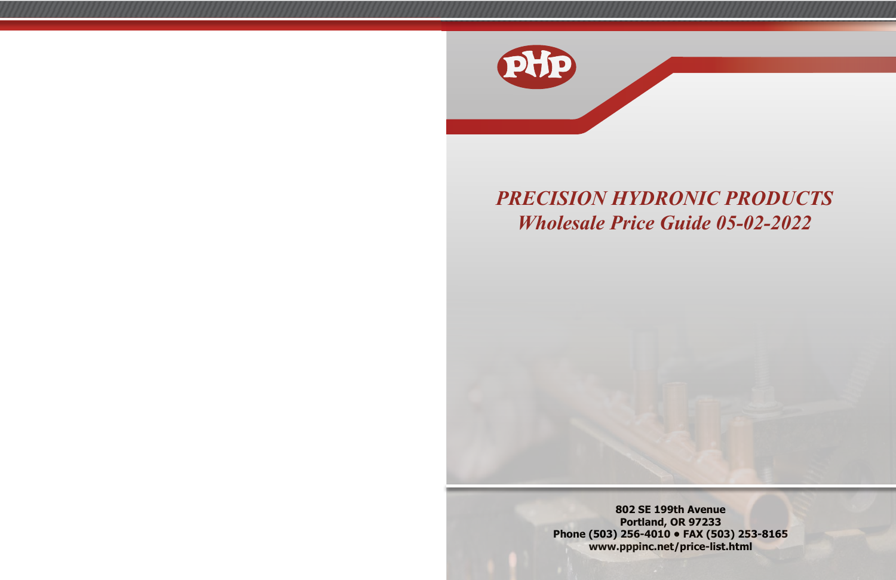

# *PRECISION HYDRONIC PRODUCTS Wholesale Price Guide 05-02-2022*

**802 SE 199th Avenue Portland, OR 97233 Phone (503) 256-4010 • FAX (503) 253-8165 www.pppinc.net/price-list.html**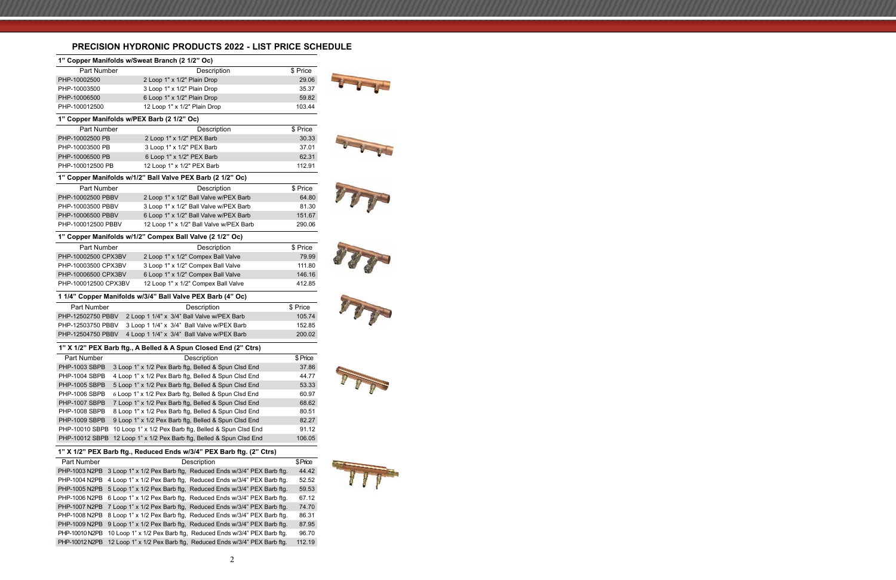## **PRECISION HYDRONIC PRODUCTS 2022 - LIST PRICE SCHEDULE**

| 1" Copper Manifolds w/Sweat Branch (2 1/2" Oc) |                                                                      |          |
|------------------------------------------------|----------------------------------------------------------------------|----------|
| <b>Part Number</b>                             | Description                                                          | \$ Price |
| PHP-10002500                                   | 2 Loop 1" x 1/2" Plain Drop                                          | 29.06    |
| PHP-10003500                                   | 3 Loop 1" x 1/2" Plain Drop                                          | 35.37    |
| PHP-10006500                                   | 6 Loop 1" x 1/2" Plain Drop                                          | 59.82    |
| PHP-100012500                                  | 12 Loop 1" x 1/2" Plain Drop                                         | 103.44   |
| 1" Copper Manifolds w/PEX Barb (2 1/2" Oc)     |                                                                      |          |
| <b>Part Number</b>                             | Description                                                          | \$ Price |
| PHP-10002500 PB                                | 2 Loop 1" x 1/2" PEX Barb                                            | 30.33    |
| PHP-10003500 PB                                | 3 Loop 1" x 1/2" PEX Barb                                            | 37.01    |
| PHP-10006500 PB                                | 6 Loop 1" x 1/2" PEX Barb                                            | 62.31    |
| PHP-100012500 PB                               | 12 Loop 1" x 1/2" PEX Barb                                           | 112.91   |
|                                                | 1" Copper Manifolds w/1/2" Ball Valve PEX Barb (2 1/2" Oc)           |          |
| <b>Part Number</b>                             | Description                                                          | \$ Price |
| PHP-10002500 PBBV                              | 2 Loop 1" x 1/2" Ball Valve w/PEX Barb                               | 64.80    |
| PHP-10003500 PBBV                              | 3 Loop 1" x 1/2" Ball Valve w/PEX Barb                               | 81.30    |
| PHP-10006500 PBBV                              | 6 Loop 1" x 1/2" Ball Valve w/PEX Barb                               | 151.67   |
| PHP-100012500 PBBV                             | 12 Loop 1" x 1/2" Ball Valve w/PEX Barb                              | 290.06   |
|                                                | 1" Copper Manifolds w/1/2" Compex Ball Valve (2 1/2" Oc)             |          |
| <b>Part Number</b>                             | Description                                                          | \$ Price |
| PHP-10002500 CPX3BV                            | 2 Loop 1" x 1/2" Compex Ball Valve                                   | 79.99    |
| PHP-10003500 CPX3BV                            | 3 Loop 1" x 1/2" Compex Ball Valve                                   | 111.80   |
| PHP-10006500 CPX3BV                            | 6 Loop 1" x 1/2" Compex Ball Valve                                   | 146.16   |
| PHP-100012500 CPX3BV                           | 12 Loop 1" x 1/2" Compex Ball Valve                                  | 412.85   |
|                                                | 1 1/4" Copper Manifolds w/3/4" Ball Valve PEX Barb (4" Oc)           |          |
| Part Number                                    | Description                                                          | \$ Price |
| PHP-12502750 PBBV                              | 2 Loop 1 1/4" x 3/4" Ball Valve w/PEX Barb                           | 105.74   |
| PHP-12503750 PBBV                              | 3 Loop 1 1/4" x 3/4" Ball Valve w/PEX Barb                           | 152.85   |
| PHP-12504750 PBBV                              | 4 Loop 1 1/4" x 3/4" Ball Valve w/PEX Barb                           | 200.02   |
|                                                | 1" X 1/2" PEX Barb ftg., A Belled & A Spun Closed End (2" Ctrs)      |          |
| Part Number                                    | Description                                                          | \$ Price |
| <b>PHP-1003 SBPB</b>                           | 3 Loop 1" x 1/2 Pex Barb ftg, Belled & Spun Clsd End                 | 37.86    |
| PHP-1004 SBPB                                  | 4 Loop 1" x 1/2 Pex Barb ftg, Belled & Spun Clsd End                 | 44.77    |
| PHP-1005 SBPB                                  | 5 Loop 1" x 1/2 Pex Barb ftg, Belled & Spun Clsd End                 | 53.33    |
| <b>PHP-1006 SBPB</b>                           | 6 Loop 1" x 1/2 Pex Barb ftg, Belled & Spun Clsd End                 | 60.97    |
| PHP-1007 SBPB                                  | 7 Loop 1" x 1/2 Pex Barb ftg, Belled & Spun Clsd End                 | 68.62    |
| <b>PHP-1008 SBPB</b>                           | 8 Loop 1" x 1/2 Pex Barb ftg, Belled & Spun Clsd End                 | 80.51    |
| PHP-1009 SBPB                                  | 9 Loop 1" x 1/2 Pex Barb ftg, Belled & Spun Clsd End                 | 82.27    |
| PHP-10010 SBPB                                 | 10 Loop 1" x 1/2 Pex Barb ftg, Belled & Spun Clsd End                | 91.12    |
| PHP-10012 SBPB                                 | 12 Loop 1" x 1/2 Pex Barb ftg, Belled & Spun Clsd End                | 106.05   |
|                                                | 1" X 1/2" PEX Barb ftg., Reduced Ends w/3/4" PEX Barb ftg. (2" Ctrs) |          |
| <b>Part Number</b>                             | Description                                                          | \$Price  |
| PHP-1003 N2PB                                  | 3 Loop 1" x 1/2 Pex Barb ftg, Reduced Ends w/3/4" PEX Barb ftg.      | 44.42    |
| PHP-1004 N2PB                                  | 4 Loop 1" x 1/2 Pex Barb ftg, Reduced Ends w/3/4" PEX Barb ftg.      | 52.52    |
| PHP-1005 N2PB                                  | 5 Loop 1" x 1/2 Pex Barb ftg, Reduced Ends w/3/4" PEX Barb ftg.      | 59.53    |
| PHP-1006 N2PB                                  | 6 Loop 1" x 1/2 Pex Barb ftg, Reduced Ends w/3/4" PEX Barb ftg.      | 67.12    |
| <b>PHP-1007 N2PB</b>                           | 7 Loop 1" x 1/2 Pex Barb ftg, Reduced Ends w/3/4" PEX Barb ftg.      | 74.70    |



PHP-1008 N2PB 8 Loop 1" x 1/2 Pex Barb ftg, Reduced Ends w/3/4" PEX Barb ftg. 86.31 PHP-1009 N2PB 9 Loop 1" x 1/2 Pex Barb ftg, Reduced Ends w/3/4" PEX Barb ftg. 87.95 PHP-10010 N2PB 10 Loop 1" x 1/2 Pex Barb ftg, Reduced Ends w/3/4" PEX Barb ftg. 96.70 PHP-10012 N2PB 12 Loop 1" x 1/2 Pex Barb ftg, Reduced Ends w/3/4" PEX Barb ftg. 112.19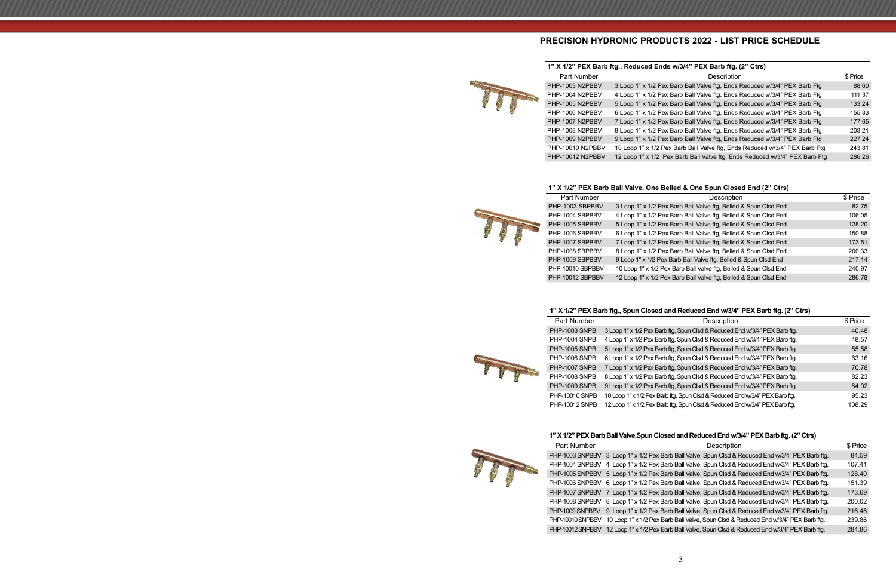## **PRECISION HYDRONIC PRODUCTS 2022 - LIST PRICE SCHEDULE**

### **1" X 1/2" PEX Barb ftg., Reduced Ends w/3/4" PEX Barb ftg. (2" Ctrs)**

|  | Part Number      | Description                                                                | \$ Price |
|--|------------------|----------------------------------------------------------------------------|----------|
|  | PHP-1003 N2PBBV  | 3 Loop 1" x 1/2 Pex Barb Ball Valve ftg, Ends Reduced w/3/4" PEX Barb Ftg  | 88.60    |
|  | PHP-1004 N2PBBV  | 4 Loop 1" x 1/2 Pex Barb Ball Valve ftg, Ends Reduced w/3/4" PEX Barb Ftg  | 111.37   |
|  | PHP-1005 N2PBBV  | 5 Loop 1" x 1/2 Pex Barb Ball Valve ftg, Ends Reduced w/3/4" PEX Barb Ftg  | 133.24   |
|  | PHP-1006 N2PBBV  | 6 Loop 1" x 1/2 Pex Barb Ball Valve ftg, Ends Reduced w/3/4" PEX Barb Ftg  | 155.33   |
|  | PHP-1007 N2PBBV  | 7 Loop 1" x 1/2 Pex Barb Ball Valve ftg, Ends Reduced w/3/4" PEX Barb Ftg  | 177.65   |
|  | PHP-1008 N2PBBV  | 8 Loop 1" x 1/2 Pex Barb Ball Valve ftg, Ends Reduced w/3/4" PEX Barb Ftg  | 203.21   |
|  | PHP-1009 N2PBBV  | 9 Loop 1" x 1/2 Pex Barb Ball Valve ftg, Ends Reduced w/3/4" PEX Barb Ftg  | 227.24   |
|  | PHP-10010 N2PBBV | 10 Loop 1" x 1/2 Pex Barb Ball Valve ftg, Ends Reduced w/3/4" PEX Barb Ftg | 243.81   |
|  | PHP-10012 N2PBBV | 12 Loop 1" x 1/2 Pex Barb Ball Valve ftg, Ends Reduced w/3/4" PEX Barb Ftg | 286.26   |

### **1" X 1/2" PEX Barb Ball Valve, One Belled & One Spun Closed End (2" Ctrs)**



| <b>Part Number</b> | Description                                                      | \$ Price |
|--------------------|------------------------------------------------------------------|----------|
| PHP-1003 SBPBBV    | 3 Loop 1" x 1/2 Pex Barb Ball Valve ftg, Belled & Spun Clsd End  | 82.75    |
| PHP-1004 SBPBBV    | 4 Loop 1" x 1/2 Pex Barb Ball Valve ftg, Belled & Spun Clsd End  | 106.05   |
| PHP-1005 SBPBBV    | 5 Loop 1" x 1/2 Pex Barb Ball Valve ftg, Belled & Spun Clsd End  | 128.20   |
| PHP-1006 SBPBBV    | 6 Loop 1" x 1/2 Pex Barb Ball Valve ftg, Belled & Spun Clsd End  | 150.88   |
| PHP-1007 SBPBBV    | 7 Loop 1" x 1/2 Pex Barb Ball Valve ftg, Belled & Spun Clsd End  | 173.51   |
| PHP-1008 SBPBBV    | 8 Loop 1" x 1/2 Pex Barb Ball Valve ftg, Belled & Spun Clsd End  | 200.33   |
| PHP-1009 SBPBBV    | 9 Loop 1" x 1/2 Pex Barb Ball Valve ftg, Belled & Spun Clsd End  | 217.14   |
| PHP-10010 SBPBBV   | 10 Loop 1" x 1/2 Pex Barb Ball Valve ftg, Belled & Spun Clsd End | 240.97   |
| PHP-10012 SBPBBV   | 12 Loop 1" x 1/2 Pex Barb Ball Valve ftg, Belled & Spun Clsd End | 286.78   |
|                    |                                                                  |          |

### **1" X 1/2" PEX Barb ftg., Spun Closed and Reduced End w/3/4" PEX Barb ftg. (2" Ctrs)**

| Part Number           | Description                                                                 | \$ Price |
|-----------------------|-----------------------------------------------------------------------------|----------|
| PHP-1003 SNPB         | 3 Loop 1" x 1/2 Pex Barb ftg, Spun Clsd & Reduced End w/3/4" PEX Barb ftg.  | 40.48    |
| PHP-1004 SNPB         | 4 Loop 1" x 1/2 Pex Barb ftg, Spun Clsd & Reduced End w/3/4" PEX Barb ftg.  | 48.57    |
| PHP-1005 SNPB         | 5 Loop 1" x 1/2 Pex Barb ftg, Spun Clsd & Reduced End w/3/4" PEX Barb ftg.  | 55.58    |
| PHP-1006 SNPB         | 6 Loop 1" x 1/2 Pex Barb ftg, Spun Clsd & Reduced End w/3/4" PEX Barb ftg.  | 63.16    |
| PHP-1007 SNPB         | 7 Loop 1" x 1/2 Pex Barb ftg, Spun Clsd & Reduced End w/3/4" PEX Barb ftg.  | 70.78    |
| <b>PHP-1008 SNPB</b>  | 8 Loop 1" x 1/2 Pex Barb ftg, Spun Clsd & Reduced End w/3/4" PEX Barb ftg.  | 82.23    |
| PHP-1009 SNPB         | 9 Loop 1" x 1/2 Pex Barb ftg, Spun Clsd & Reduced End w/3/4" PEX Barb ftg.  | 84.02    |
| <b>PHP-10010 SNPB</b> | 10 Loop 1" x 1/2 Pex Barb ftg, Spun Clsd & Reduced End w/3/4" PEX Barb ftg. | 95.23    |
| <b>PHP-10012 SNPB</b> | 12 Loop 1" x 1/2 Pex Barb ftg, Spun Clsd & Reduced End w/3/4" PEX Barb ftg. | 108.29   |
|                       |                                                                             |          |

#### **1" X 1/2" PEX Barb Ball Valve,Spun Closed and Reduced End w/3/4" PEX Barb ftg. (2" Ctrs)**



TTT

| <b>Part Number</b> | Description                                                                        | \$ Price |
|--------------------|------------------------------------------------------------------------------------|----------|
| PHP-1003 SNPBBV    | 3 Loop 1" x 1/2 Pex Barb Ball Valve, Spun Clsd & Reduced End w/3/4" PEX Barb ftg.  | 84.59    |
| PHP-1004 SNPBBV    | 4 Loop 1" x 1/2 Pex Barb Ball Valve, Spun Clsd & Reduced End w/3/4" PEX Barb ftg.  | 107.41   |
| PHP-1005 SNPBBV    | 5 Loop 1" x 1/2 Pex Barb Ball Valve, Spun Clsd & Reduced End w/3/4" PEX Barb ftg.  | 128.40   |
| PHP-1006 SNPBBV    | 6 Loop 1" x 1/2 Pex Barb Ball Valve, Spun Clsd & Reduced End w/3/4" PEX Barb ftg.  | 151.39   |
| PHP-1007 SNPBBV    | Loop 1" x 1/2 Pex Barb Ball Valve, Spun Clsd & Reduced End w/3/4" PEX Barb ftg.    | 173.69   |
| PHP-1008 SNPBBV    | 8 Loop 1" x 1/2 Pex Barb Ball Valve, Spun Clsd & Reduced End w/3/4" PEX Barb ftg.  | 200.02   |
| PHP-1009 SNPBBV    | 9 Loop 1" x 1/2 Pex Barb Ball Valve, Spun Clsd & Reduced End w/3/4" PEX Barb ftg.  | 216.46   |
| PHP-10010 SNPBBV   | 10 Loop 1" x 1/2 Pex Barb Ball Valve, Spun Clsd & Reduced End w/3/4" PEX Barb ftg. | 239.86   |
| PHP-10012 SNPBBV   | 12 Loop 1" x 1/2 Pex Barb Ball Valve, Spun Clsd & Reduced End w/3/4" PEX Barb ftg. | 284.86   |